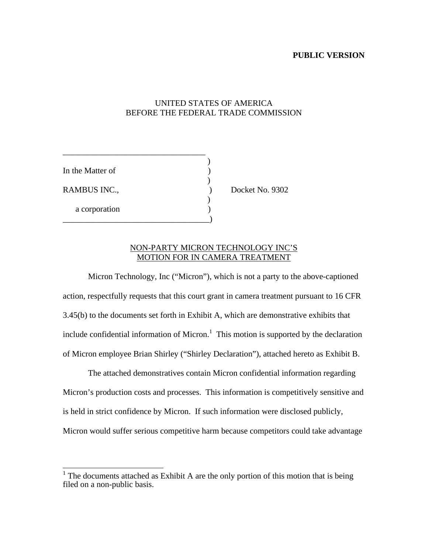## **PUBLIC VERSION**

# UNITED STATES OF AMERICA BEFORE THE FEDERAL TRADE COMMISSION

 $\overline{\phantom{a}}$ 

In the Matter of

\_\_\_\_\_\_\_\_\_\_\_\_\_\_\_\_\_\_\_\_\_\_\_\_\_\_\_\_\_\_\_\_\_\_

 $)$ 

 $)$ 

\_\_\_\_\_\_\_\_\_\_\_\_\_\_\_\_\_\_\_\_\_\_\_\_\_\_\_\_\_\_\_\_\_\_\_)

a corporation

RAMBUS INC., Docket No. 9302

## NON-PARTY MICRON TECHNOLOGY INC'S MOTION FOR IN CAMERA TREATMENT

Micron Technology, Inc ("Micron"), which is not a party to the above-captioned action, respectfully requests that this court grant in camera treatment pursuant to 16 CFR 3.45(b) to the documents set forth in Exhibit A, which are demonstrative exhibits that include confidential information of Micron.<sup>1</sup> This motion is supported by the declaration of Micron employee Brian Shirley ("Shirley Declaration"), attached hereto as Exhibit B.

The attached demonstratives contain Micron confidential information regarding Micron's production costs and processes. This information is competitively sensitive and is held in strict confidence by Micron. If such information were disclosed publicly, Micron would suffer serious competitive harm because competitors could take advantage

<sup>&</sup>lt;sup>1</sup> The documents attached as Exhibit A are the only portion of this motion that is being filed on a non-public basis.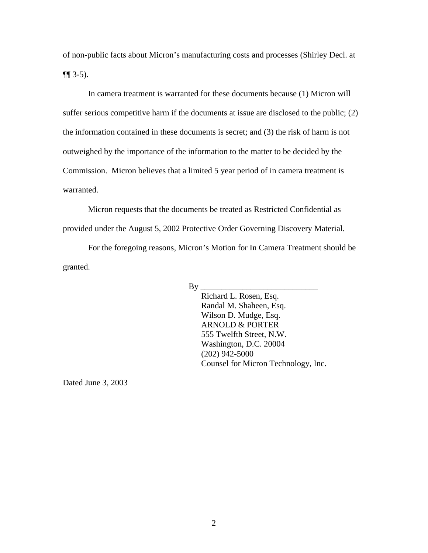of non-public facts about Micron's manufacturing costs and processes (Shirley Decl. at  $\P(3-5)$ .

In camera treatment is warranted for these documents because (1) Micron will suffer serious competitive harm if the documents at issue are disclosed to the public; (2) the information contained in these documents is secret; and (3) the risk of harm is not outweighed by the importance of the information to the matter to be decided by the Commission. Micron believes that a limited 5 year period of in camera treatment is warranted.

Micron requests that the documents be treated as Restricted Confidential as provided under the August 5, 2002 Protective Order Governing Discovery Material.

For the foregoing reasons, Micron's Motion for In Camera Treatment should be granted.

 $By \_\_$ 

Richard L. Rosen, Esq. Randal M. Shaheen, Esq. Wilson D. Mudge, Esq. ARNOLD & PORTER 555 Twelfth Street, N.W. Washington, D.C. 20004 (202) 942-5000 Counsel for Micron Technology, Inc.

Dated June 3, 2003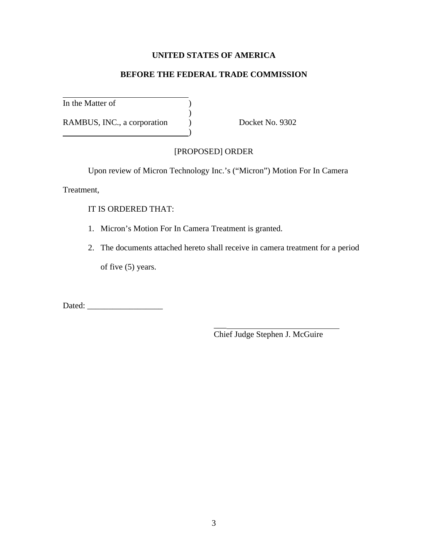# **UNITED STATES OF AMERICA**

# **BEFORE THE FEDERAL TRADE COMMISSION**

In the Matter of  $\qquad \qquad$  )

RAMBUS, INC., a corporation ) Docket No. 9302

# [PROPOSED] ORDER

Upon review of Micron Technology Inc.'s ("Micron") Motion For In Camera

Treatment,

IT IS ORDERED THAT:

1. Micron's Motion For In Camera Treatment is granted.

)

 $\lambda$ 

2. The documents attached hereto shall receive in camera treatment for a period

of five (5) years.

Dated: \_\_\_\_\_\_\_\_\_\_\_\_\_\_\_\_\_\_

 $\overline{\phantom{a}}$ Chief Judge Stephen J. McGuire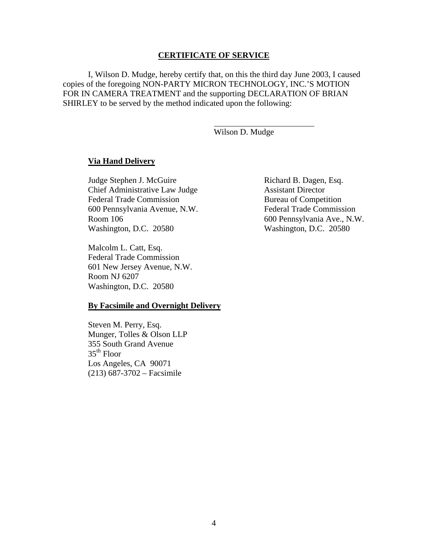### **CERTIFICATE OF SERVICE**

I, Wilson D. Mudge, hereby certify that, on this the third day June 2003, I caused copies of the foregoing NON-PARTY MICRON TECHNOLOGY, INC.'S MOTION FOR IN CAMERA TREATMENT and the supporting DECLARATION OF BRIAN SHIRLEY to be served by the method indicated upon the following:

Wilson D. Mudge

## **Via Hand Delivery**

Judge Stephen J. McGuire Richard B. Dagen, Esq. Chief Administrative Law Judge Assistant Director Federal Trade Commission Bureau of Competition 600 Pennsylvania Avenue, N.W. Federal Trade Commission Room 106 600 Pennsylvania Ave., N.W. Washington, D.C. 20580 Washington, D.C. 20580

Malcolm L. Catt, Esq. Federal Trade Commission 601 New Jersey Avenue, N.W. Room NJ 6207 Washington, D.C. 20580

#### **By Facsimile and Overnight Delivery**

Steven M. Perry, Esq. Munger, Tolles & Olson LLP 355 South Grand Avenue  $35<sup>th</sup>$  Floor Los Angeles, CA 90071 (213) 687-3702 – Facsimile